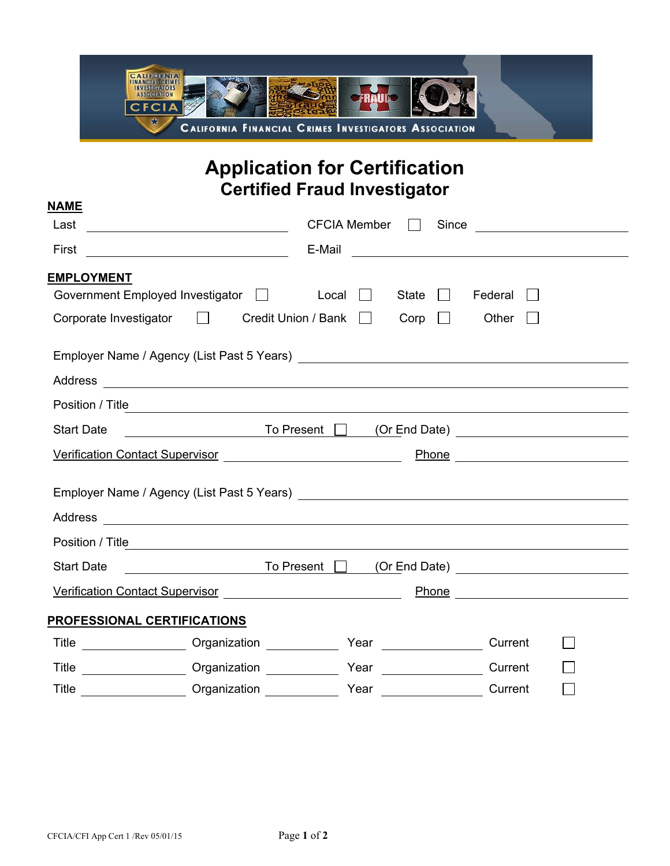

## **Application for Certification Certified Fraud Investigator**

| <b>NAME</b>                                                                                                                                                                                                                                    |                     |              |              |                                                                                                                      |
|------------------------------------------------------------------------------------------------------------------------------------------------------------------------------------------------------------------------------------------------|---------------------|--------------|--------------|----------------------------------------------------------------------------------------------------------------------|
| Last<br><u> 1980 - Johann Barn, mars eta bainar eta idazlea (</u>                                                                                                                                                                              | <b>CFCIA Member</b> |              | Since        | <u> 1989 - Jan Stein Stein Stein Stein Stein Stein Stein Stein Stein Stein Stein Stein Stein Stein Stein Stein S</u> |
| First                                                                                                                                                                                                                                          | E-Mail              |              |              |                                                                                                                      |
| <b>EMPLOYMENT</b>                                                                                                                                                                                                                              |                     |              |              |                                                                                                                      |
| Government Employed Investigator <b>Fig. 1.1.</b> Local                                                                                                                                                                                        |                     | <b>State</b> | Federal      |                                                                                                                      |
| Corporate Investigator □ Credit Union / Bank □                                                                                                                                                                                                 |                     | Corp         | Other        |                                                                                                                      |
|                                                                                                                                                                                                                                                |                     |              |              |                                                                                                                      |
|                                                                                                                                                                                                                                                |                     |              |              |                                                                                                                      |
|                                                                                                                                                                                                                                                |                     |              |              |                                                                                                                      |
| <u>December 1998 To Present</u> December 10 (Or End Date) <u>New Assemblue</u><br><b>Start Date</b>                                                                                                                                            |                     |              |              |                                                                                                                      |
| Verification Contact Supervisor<br>Management Advisor Management Control of the Verification Control of Management Control of the Verification Co                                                                                              |                     |              | <u>Phone</u> |                                                                                                                      |
|                                                                                                                                                                                                                                                |                     |              |              |                                                                                                                      |
|                                                                                                                                                                                                                                                |                     |              |              |                                                                                                                      |
|                                                                                                                                                                                                                                                |                     |              |              |                                                                                                                      |
| △ To Present □ (Or End Date)<br><b>Start Date</b>                                                                                                                                                                                              |                     |              |              |                                                                                                                      |
| Verification Contact Supervisor<br>Management Contact Supervisor<br>Management Contact Supervisor<br>Management Contact Supervisor<br>Management Contact Supervisor<br>Management Contact Supervisor<br>Management Contact Supervisor<br>Man   |                     |              |              |                                                                                                                      |
| <b>PROFESSIONAL CERTIFICATIONS</b>                                                                                                                                                                                                             |                     |              |              |                                                                                                                      |
| Title ______________________ Organization _____________                                                                                                                                                                                        |                     |              | Current      |                                                                                                                      |
| Drganization Communication Communication Communication Communication Communication Communication Communication Communication Communication Communication Communication Communication Communication Communication Communication<br><b>Title</b> |                     |              | Current      |                                                                                                                      |
| Title ___________________ Organization ______________ Year                                                                                                                                                                                     |                     |              | Current      |                                                                                                                      |